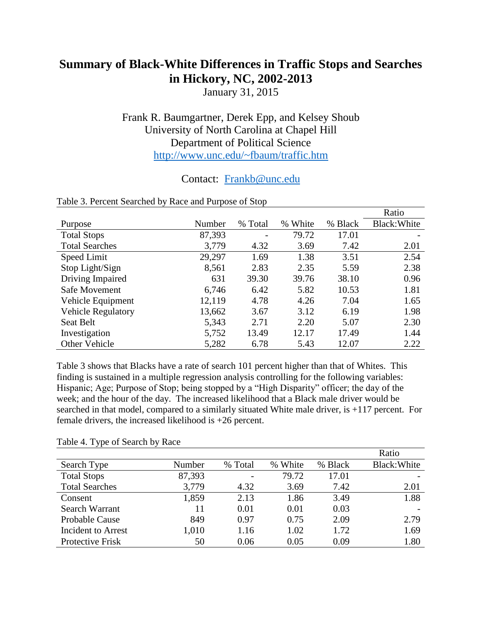# **Summary of Black-White Differences in Traffic Stops and Searches in Hickory, NC, 2002-2013**

January 31, 2015

## Frank R. Baumgartner, Derek Epp, and Kelsey Shoub University of North Carolina at Chapel Hill Department of Political Science <http://www.unc.edu/~fbaum/traffic.htm>

### Contact: [Frankb@unc.edu](mailto:Frankb@unc.edu)

|                           |        |                          |               |         | Ratio        |
|---------------------------|--------|--------------------------|---------------|---------|--------------|
| Purpose                   | Number | % Total                  | White<br>$\%$ | % Black | Black: White |
| <b>Total Stops</b>        | 87,393 | $\overline{\phantom{a}}$ | 79.72         | 17.01   |              |
| <b>Total Searches</b>     | 3,779  | 4.32                     | 3.69          | 7.42    | 2.01         |
| Speed Limit               | 29,297 | 1.69                     | 1.38          | 3.51    | 2.54         |
| Stop Light/Sign           | 8,561  | 2.83                     | 2.35          | 5.59    | 2.38         |
| Driving Impaired          | 631    | 39.30                    | 39.76         | 38.10   | 0.96         |
| Safe Movement             | 6,746  | 6.42                     | 5.82          | 10.53   | 1.81         |
| Vehicle Equipment         | 12,119 | 4.78                     | 4.26          | 7.04    | 1.65         |
| <b>Vehicle Regulatory</b> | 13,662 | 3.67                     | 3.12          | 6.19    | 1.98         |
| Seat Belt                 | 5,343  | 2.71                     | 2.20          | 5.07    | 2.30         |
| Investigation             | 5,752  | 13.49                    | 12.17         | 17.49   | 1.44         |
| Other Vehicle             | 5,282  | 6.78                     | 5.43          | 12.07   | 2.22         |

### Table 3. Percent Searched by Race and Purpose of Stop

Table 3 shows that Blacks have a rate of search 101 percent higher than that of Whites. This finding is sustained in a multiple regression analysis controlling for the following variables: Hispanic; Age; Purpose of Stop; being stopped by a "High Disparity" officer; the day of the week; and the hour of the day. The increased likelihood that a Black male driver would be searched in that model, compared to a similarly situated White male driver, is +117 percent. For female drivers, the increased likelihood is +26 percent.

#### Table 4. Type of Search by Race

|                           |        |         |         |         | Ratio        |
|---------------------------|--------|---------|---------|---------|--------------|
| Search Type               | Number | % Total | % White | % Black | Black: White |
| <b>Total Stops</b>        | 87,393 |         | 79.72   | 17.01   |              |
| <b>Total Searches</b>     | 3,779  | 4.32    | 3.69    | 7.42    | 2.01         |
| Consent                   | 1,859  | 2.13    | 1.86    | 3.49    | 1.88         |
| Search Warrant            | 11     | 0.01    | 0.01    | 0.03    |              |
| <b>Probable Cause</b>     | 849    | 0.97    | 0.75    | 2.09    | 2.79         |
| <b>Incident to Arrest</b> | 1,010  | 1.16    | 1.02    | 1.72    | 1.69         |
| Protective Frisk          | 50     | 0.06    | 0.05    | 0.09    | 1.80         |